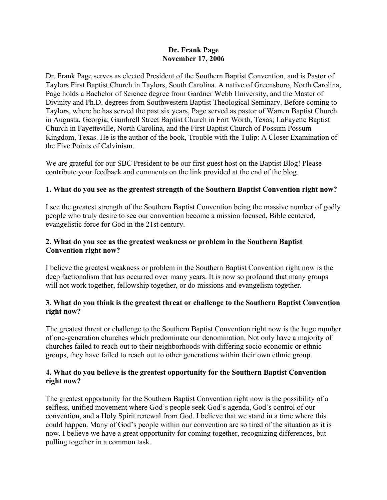## **Dr. Frank Page November 17, 2006**

Dr. Frank Page serves as elected President of the Southern Baptist Convention, and is Pastor of Taylors First Baptist Church in Taylors, South Carolina. A native of Greensboro, North Carolina, Page holds a Bachelor of Science degree from Gardner Webb University, and the Master of Divinity and Ph.D. degrees from Southwestern Baptist Theological Seminary. Before coming to Taylors, where he has served the past six years, Page served as pastor of Warren Baptist Church in Augusta, Georgia; Gambrell Street Baptist Church in Fort Worth, Texas; LaFayette Baptist Church in Fayetteville, North Carolina, and the First Baptist Church of Possum Possum Kingdom, Texas. He is the author of the book, Trouble with the Tulip: A Closer Examination of the Five Points of Calvinism.

We are grateful for our SBC President to be our first guest host on the Baptist Blog! Please contribute your feedback and comments on the link provided at the end of the blog.

# **1. What do you see as the greatest strength of the Southern Baptist Convention right now?**

I see the greatest strength of the Southern Baptist Convention being the massive number of godly people who truly desire to see our convention become a mission focused, Bible centered, evangelistic force for God in the 21st century.

## **2. What do you see as the greatest weakness or problem in the Southern Baptist Convention right now?**

I believe the greatest weakness or problem in the Southern Baptist Convention right now is the deep factionalism that has occurred over many years. It is now so profound that many groups will not work together, fellowship together, or do missions and evangelism together.

# **3. What do you think is the greatest threat or challenge to the Southern Baptist Convention right now?**

The greatest threat or challenge to the Southern Baptist Convention right now is the huge number of one-generation churches which predominate our denomination. Not only have a majority of churches failed to reach out to their neighborhoods with differing socio economic or ethnic groups, they have failed to reach out to other generations within their own ethnic group.

## **4. What do you believe is the greatest opportunity for the Southern Baptist Convention right now?**

The greatest opportunity for the Southern Baptist Convention right now is the possibility of a selfless, unified movement where God's people seek God's agenda, God's control of our convention, and a Holy Spirit renewal from God. I believe that we stand in a time where this could happen. Many of God's people within our convention are so tired of the situation as it is now. I believe we have a great opportunity for coming together, recognizing differences, but pulling together in a common task.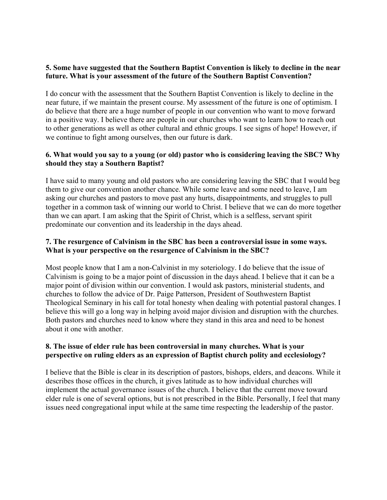## **5. Some have suggested that the Southern Baptist Convention is likely to decline in the near future. What is your assessment of the future of the Southern Baptist Convention?**

I do concur with the assessment that the Southern Baptist Convention is likely to decline in the near future, if we maintain the present course. My assessment of the future is one of optimism. I do believe that there are a huge number of people in our convention who want to move forward in a positive way. I believe there are people in our churches who want to learn how to reach out to other generations as well as other cultural and ethnic groups. I see signs of hope! However, if we continue to fight among ourselves, then our future is dark.

# **6. What would you say to a young (or old) pastor who is considering leaving the SBC? Why should they stay a Southern Baptist?**

I have said to many young and old pastors who are considering leaving the SBC that I would beg them to give our convention another chance. While some leave and some need to leave, I am asking our churches and pastors to move past any hurts, disappointments, and struggles to pull together in a common task of winning our world to Christ. I believe that we can do more together than we can apart. I am asking that the Spirit of Christ, which is a selfless, servant spirit predominate our convention and its leadership in the days ahead.

# **7. The resurgence of Calvinism in the SBC has been a controversial issue in some ways. What is your perspective on the resurgence of Calvinism in the SBC?**

Most people know that I am a non-Calvinist in my soteriology. I do believe that the issue of Calvinism is going to be a major point of discussion in the days ahead. I believe that it can be a major point of division within our convention. I would ask pastors, ministerial students, and churches to follow the advice of Dr. Paige Patterson, President of Southwestern Baptist Theological Seminary in his call for total honesty when dealing with potential pastoral changes. I believe this will go a long way in helping avoid major division and disruption with the churches. Both pastors and churches need to know where they stand in this area and need to be honest about it one with another.

## **8. The issue of elder rule has been controversial in many churches. What is your perspective on ruling elders as an expression of Baptist church polity and ecclesiology?**

I believe that the Bible is clear in its description of pastors, bishops, elders, and deacons. While it describes those offices in the church, it gives latitude as to how individual churches will implement the actual governance issues of the church. I believe that the current move toward elder rule is one of several options, but is not prescribed in the Bible. Personally, I feel that many issues need congregational input while at the same time respecting the leadership of the pastor.